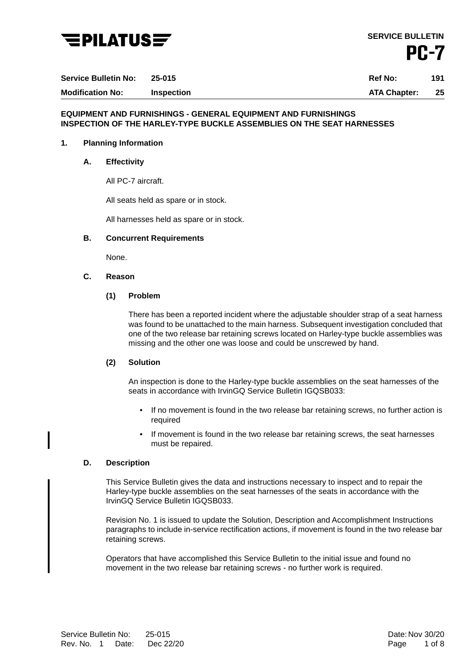

| <b>Service Bulletin No:</b> | 25-015            | <b>Ref No:</b>      | 191 |
|-----------------------------|-------------------|---------------------|-----|
| <b>Modification No:</b>     | <b>Inspection</b> | <b>ATA Chapter:</b> | 25  |

#### **EQUIPMENT AND FURNISHINGS - GENERAL EQUIPMENT AND FURNISHINGS INSPECTION OF THE HARLEY-TYPE BUCKLE ASSEMBLIES ON THE SEAT HARNESSES**

#### **1. Planning Information**

#### **A. Effectivity**

All PC-7 aircraft.

All seats held as spare or in stock.

All harnesses held as spare or in stock.

#### **B. Concurrent Requirements**

None.

### **C. Reason**

### **(1) Problem**

There has been a reported incident where the adjustable shoulder strap of a seat harness was found to be unattached to the main harness. Subsequent investigation concluded that one of the two release bar retaining screws located on Harley-type buckle assemblies was missing and the other one was loose and could be unscrewed by hand.

#### **(2) Solution**

An inspection is done to the Harley-type buckle assemblies on the seat harnesses of the seats in accordance with IrvinGQ Service Bulletin IGQSB033:

- If no movement is found in the two release bar retaining screws, no further action is required
- If movement is found in the two release bar retaining screws, the seat harnesses must be repaired.

#### **D. Description**

This Service Bulletin gives the data and instructions necessary to inspect and to repair the Harley-type buckle assemblies on the seat harnesses of the seats in accordance with the IrvinGQ Service Bulletin IGQSB033.

Revision No. 1 is issued to update the Solution, Description and Accomplishment Instructions paragraphs to include in-service rectification actions, if movement is found in the two release bar retaining screws.

Operators that have accomplished this Service Bulletin to the initial issue and found no movement in the two release bar retaining screws - no further work is required.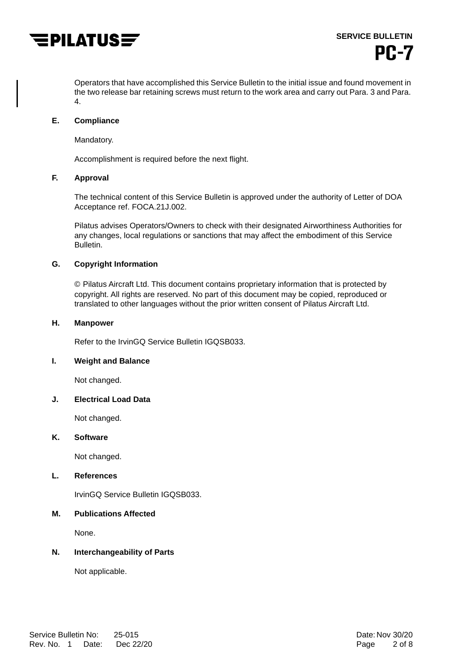

Operators that have accomplished this Service Bulletin to the initial issue and found movement in the two release bar retaining screws must return to the work area and carry out Para. 3 and Para. 4.

### **E. Compliance**

Mandatory.

Accomplishment is required before the next flight.

### **F. Approval**

The technical content of this Service Bulletin is approved under the authority of Letter of DOA Acceptance ref. FOCA.21J.002.

Pilatus advises Operators/Owners to check with their designated Airworthiness Authorities for any changes, local regulations or sanctions that may affect the embodiment of this Service Bulletin.

### **G. Copyright Information**

© Pilatus Aircraft Ltd. This document contains proprietary information that is protected by copyright. All rights are reserved. No part of this document may be copied, reproduced or translated to other languages without the prior written consent of Pilatus Aircraft Ltd.

### **H. Manpower**

Refer to the IrvinGQ Service Bulletin IGQSB033.

## **I. Weight and Balance**

Not changed.

### **J. Electrical Load Data**

Not changed.

#### **K. Software**

Not changed.

#### **L. References**

IrvinGQ Service Bulletin IGQSB033.

## **M. Publications Affected**

None.

## **N. Interchangeability of Parts**

Not applicable.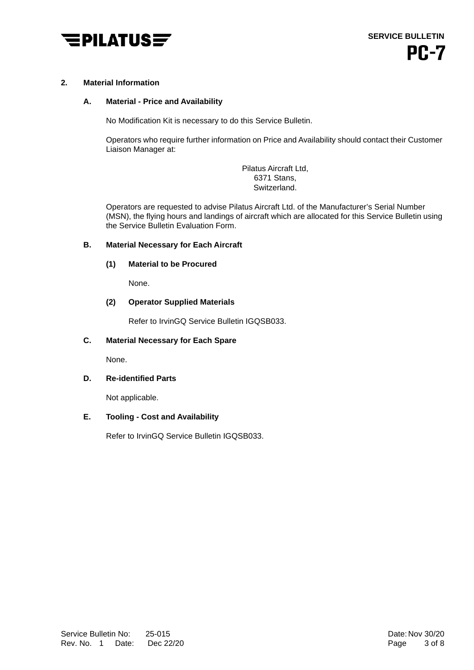

## **2. Material Information**

### **A. Material - Price and Availability**

No Modification Kit is necessary to do this Service Bulletin.

Operators who require further information on Price and Availability should contact their Customer Liaison Manager at:

> Pilatus Aircraft Ltd, 6371 Stans, Switzerland.

Operators are requested to advise Pilatus Aircraft Ltd. of the Manufacturer's Serial Number (MSN), the flying hours and landings of aircraft which are allocated for this Service Bulletin using the Service Bulletin Evaluation Form.

### **B. Material Necessary for Each Aircraft**

### **(1) Material to be Procured**

None.

### **(2) Operator Supplied Materials**

Refer to IrvinGQ Service Bulletin IGQSB033.

## **C. Material Necessary for Each Spare**

None.

## **D. Re-identified Parts**

Not applicable.

## **E. Tooling - Cost and Availability**

Refer to IrvinGQ Service Bulletin IGQSB033.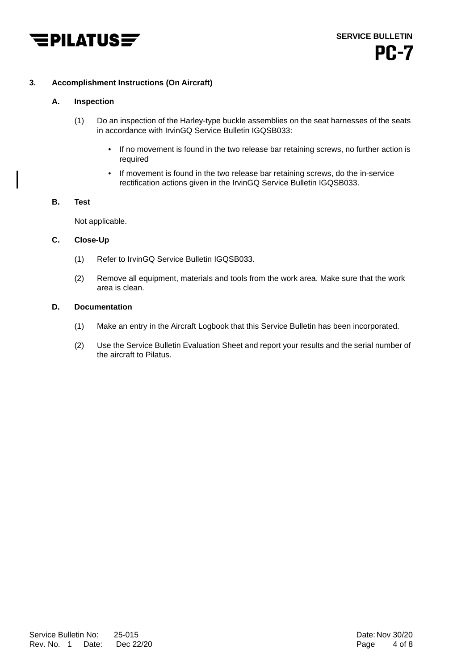

## **3. Accomplishment Instructions (On Aircraft)**

## **A. Inspection**

- (1) Do an inspection of the Harley-type buckle assemblies on the seat harnesses of the seats in accordance with IrvinGQ Service Bulletin IGQSB033:
	- If no movement is found in the two release bar retaining screws, no further action is required
	- If movement is found in the two release bar retaining screws, do the in-service rectification actions given in the IrvinGQ Service Bulletin IGQSB033.

## **B. Test**

Not applicable.

# **C. Close-Up**

- (1) Refer to IrvinGQ Service Bulletin IGQSB033.
- (2) Remove all equipment, materials and tools from the work area. Make sure that the work area is clean.

# **D. Documentation**

- (1) Make an entry in the Aircraft Logbook that this Service Bulletin has been incorporated.
- (2) Use the Service Bulletin Evaluation Sheet and report your results and the serial number of the aircraft to Pilatus.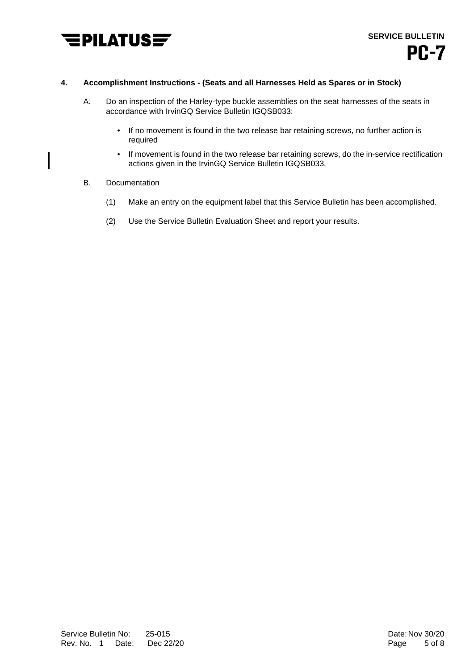

### **4. Accomplishment Instructions - (Seats and all Harnesses Held as Spares or in Stock)**

- A. Do an inspection of the Harley-type buckle assemblies on the seat harnesses of the seats in accordance with IrvinGQ Service Bulletin IGQSB033:
	- If no movement is found in the two release bar retaining screws, no further action is required
	- If movement is found in the two release bar retaining screws, do the in-service rectification actions given in the IrvinGQ Service Bulletin IGQSB033.
- B. Documentation
	- (1) Make an entry on the equipment label that this Service Bulletin has been accomplished.
	- (2) Use the Service Bulletin Evaluation Sheet and report your results.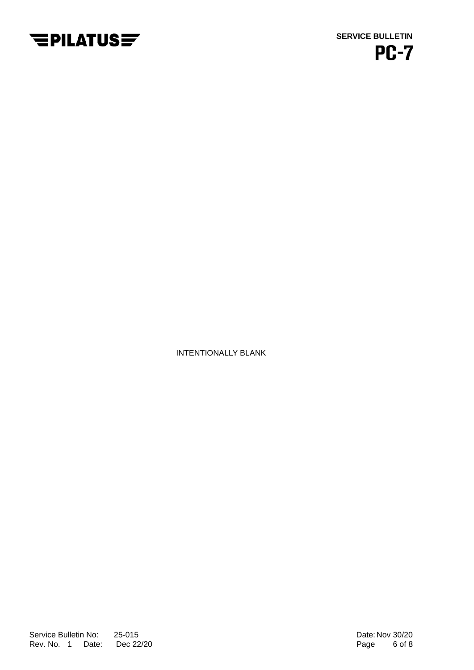



INTENTIONALLY BLANK

Service Bulletin No: 25-015 **Date: Nov 30/20** Date: Nov 30/20 Rev. No. 1 Date: Dec 22/20 **Page 6 of 8**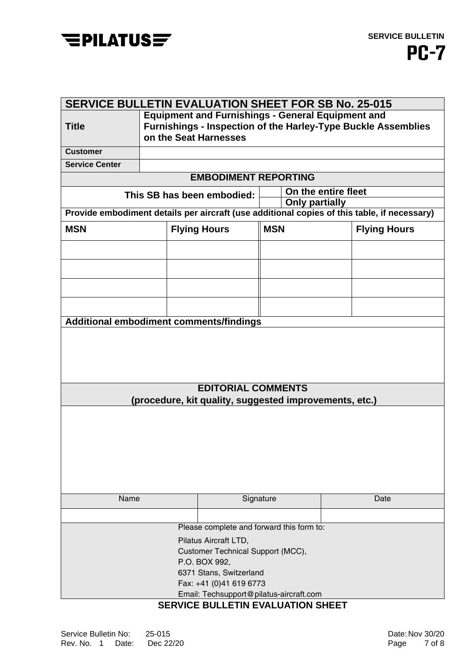

| <b>SERVICE BULLETIN EVALUATION SHEET FOR SB No. 25-015</b>                                                           |                                                                                               |                                                        |            |                     |  |                     |  |  |  |
|----------------------------------------------------------------------------------------------------------------------|-----------------------------------------------------------------------------------------------|--------------------------------------------------------|------------|---------------------|--|---------------------|--|--|--|
|                                                                                                                      | <b>Equipment and Furnishings - General Equipment and</b>                                      |                                                        |            |                     |  |                     |  |  |  |
| <b>Title</b>                                                                                                         | <b>Furnishings - Inspection of the Harley-Type Buckle Assemblies</b><br>on the Seat Harnesses |                                                        |            |                     |  |                     |  |  |  |
|                                                                                                                      |                                                                                               |                                                        |            |                     |  |                     |  |  |  |
| <b>Customer</b>                                                                                                      |                                                                                               |                                                        |            |                     |  |                     |  |  |  |
| <b>Service Center</b>                                                                                                |                                                                                               |                                                        |            |                     |  |                     |  |  |  |
| <b>EMBODIMENT REPORTING</b>                                                                                          |                                                                                               |                                                        |            |                     |  |                     |  |  |  |
| This SB has been embodied:                                                                                           |                                                                                               |                                                        |            | On the entire fleet |  |                     |  |  |  |
| <b>Only partially</b><br>Provide embodiment details per aircraft (use additional copies of this table, if necessary) |                                                                                               |                                                        |            |                     |  |                     |  |  |  |
| <b>MSN</b>                                                                                                           |                                                                                               |                                                        |            |                     |  |                     |  |  |  |
|                                                                                                                      |                                                                                               | <b>Flying Hours</b>                                    | <b>MSN</b> |                     |  | <b>Flying Hours</b> |  |  |  |
|                                                                                                                      |                                                                                               |                                                        |            |                     |  |                     |  |  |  |
|                                                                                                                      |                                                                                               |                                                        |            |                     |  |                     |  |  |  |
|                                                                                                                      |                                                                                               |                                                        |            |                     |  |                     |  |  |  |
|                                                                                                                      |                                                                                               |                                                        |            |                     |  |                     |  |  |  |
|                                                                                                                      |                                                                                               |                                                        |            |                     |  |                     |  |  |  |
|                                                                                                                      |                                                                                               |                                                        |            |                     |  |                     |  |  |  |
| Additional embodiment comments/findings                                                                              |                                                                                               |                                                        |            |                     |  |                     |  |  |  |
|                                                                                                                      |                                                                                               |                                                        |            |                     |  |                     |  |  |  |
|                                                                                                                      |                                                                                               |                                                        |            |                     |  |                     |  |  |  |
|                                                                                                                      |                                                                                               |                                                        |            |                     |  |                     |  |  |  |
|                                                                                                                      |                                                                                               |                                                        |            |                     |  |                     |  |  |  |
| <b>EDITORIAL COMMENTS</b>                                                                                            |                                                                                               |                                                        |            |                     |  |                     |  |  |  |
|                                                                                                                      |                                                                                               | (procedure, kit quality, suggested improvements, etc.) |            |                     |  |                     |  |  |  |
|                                                                                                                      |                                                                                               |                                                        |            |                     |  |                     |  |  |  |
|                                                                                                                      |                                                                                               |                                                        |            |                     |  |                     |  |  |  |
|                                                                                                                      |                                                                                               |                                                        |            |                     |  |                     |  |  |  |
|                                                                                                                      |                                                                                               |                                                        |            |                     |  |                     |  |  |  |
|                                                                                                                      |                                                                                               |                                                        |            |                     |  |                     |  |  |  |
|                                                                                                                      |                                                                                               |                                                        |            |                     |  |                     |  |  |  |
| Signature<br>Name                                                                                                    |                                                                                               |                                                        |            | Date                |  |                     |  |  |  |
|                                                                                                                      |                                                                                               |                                                        |            |                     |  |                     |  |  |  |
|                                                                                                                      |                                                                                               |                                                        |            |                     |  |                     |  |  |  |
| Please complete and forward this form to:                                                                            |                                                                                               |                                                        |            |                     |  |                     |  |  |  |
| Pilatus Aircraft LTD,<br>Customer Technical Support (MCC),                                                           |                                                                                               |                                                        |            |                     |  |                     |  |  |  |
| P.O. BOX 992,                                                                                                        |                                                                                               |                                                        |            |                     |  |                     |  |  |  |
| 6371 Stans, Switzerland                                                                                              |                                                                                               |                                                        |            |                     |  |                     |  |  |  |
| Fax: +41 (0)41 619 6773                                                                                              |                                                                                               |                                                        |            |                     |  |                     |  |  |  |
| Email: Techsupport@pilatus-aircraft.com                                                                              |                                                                                               |                                                        |            |                     |  |                     |  |  |  |

**SERVICE BULLETIN EVALUATION SHEET**